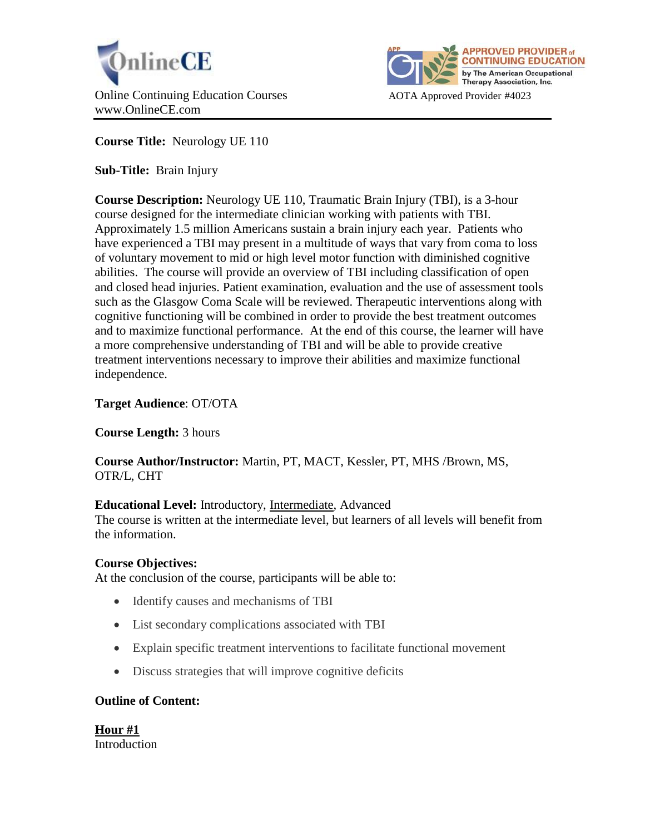



**Course Title:** Neurology UE 110

**Sub-Title:** Brain Injury

**Course Description:** Neurology UE 110, Traumatic Brain Injury (TBI), is a 3-hour course designed for the intermediate clinician working with patients with TBI. Approximately 1.5 million Americans sustain a brain injury each year. Patients who have experienced a TBI may present in a multitude of ways that vary from coma to loss of voluntary movement to mid or high level motor function with diminished cognitive abilities. The course will provide an overview of TBI including classification of open and closed head injuries. Patient examination, evaluation and the use of assessment tools such as the Glasgow Coma Scale will be reviewed. Therapeutic interventions along with cognitive functioning will be combined in order to provide the best treatment outcomes and to maximize functional performance. At the end of this course, the learner will have a more comprehensive understanding of TBI and will be able to provide creative treatment interventions necessary to improve their abilities and maximize functional independence.

# **Target Audience**: OT/OTA

**Course Length:** 3 hours

**Course Author/Instructor:** Martin, PT, MACT, Kessler, PT, MHS /Brown, MS, OTR/L, CHT

# **Educational Level:** Introductory, Intermediate, Advanced

The course is written at the intermediate level, but learners of all levels will benefit from the information.

### **Course Objectives:**

At the conclusion of the course, participants will be able to:

- Identify causes and mechanisms of TBI
- List secondary complications associated with TBI
- Explain specific treatment interventions to facilitate functional movement
- Discuss strategies that will improve cognitive deficits

### **Outline of Content:**

**Hour #1** Introduction